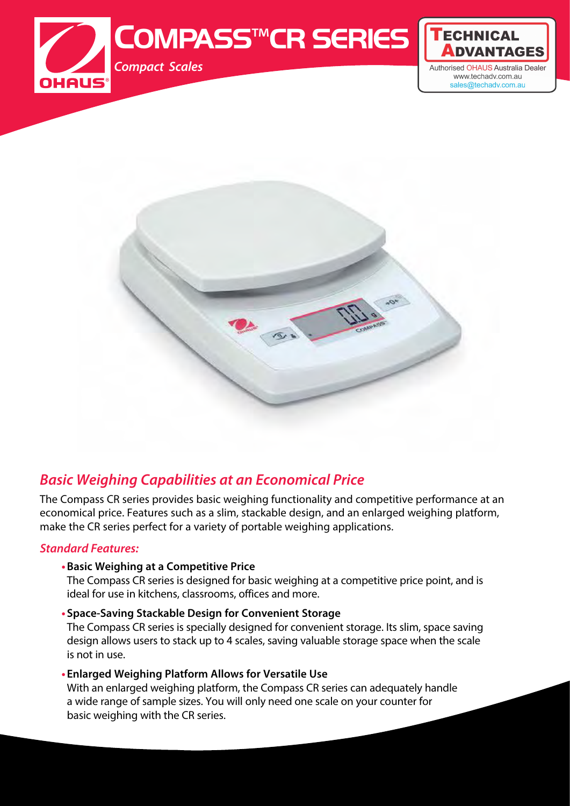



## *Basic Weighing Capabilities at an Economical Price*

The Compass CR series provides basic weighing functionality and competitive performance at an economical price. Features such as a slim, stackable design, and an enlarged weighing platform, make the CR series perfect for a variety of portable weighing applications.

#### *Standard Features:*

#### **•Basic Weighing at a Competitive Price**

The Compass CR series is designed for basic weighing at a competitive price point, and is ideal for use in kitchens, classrooms, offices and more.

#### **• Space-Saving Stackable Design for Convenient Storage**

The Compass CR series is specially designed for convenient storage. Its slim, space saving design allows users to stack up to 4 scales, saving valuable storage space when the scale is not in use.

#### **• Enlarged Weighing Platform Allows for Versatile Use**

With an enlarged weighing platform, the Compass CR series can adequately handle a wide range of sample sizes. You will only need one scale on your counter for basic weighing with the CR series.